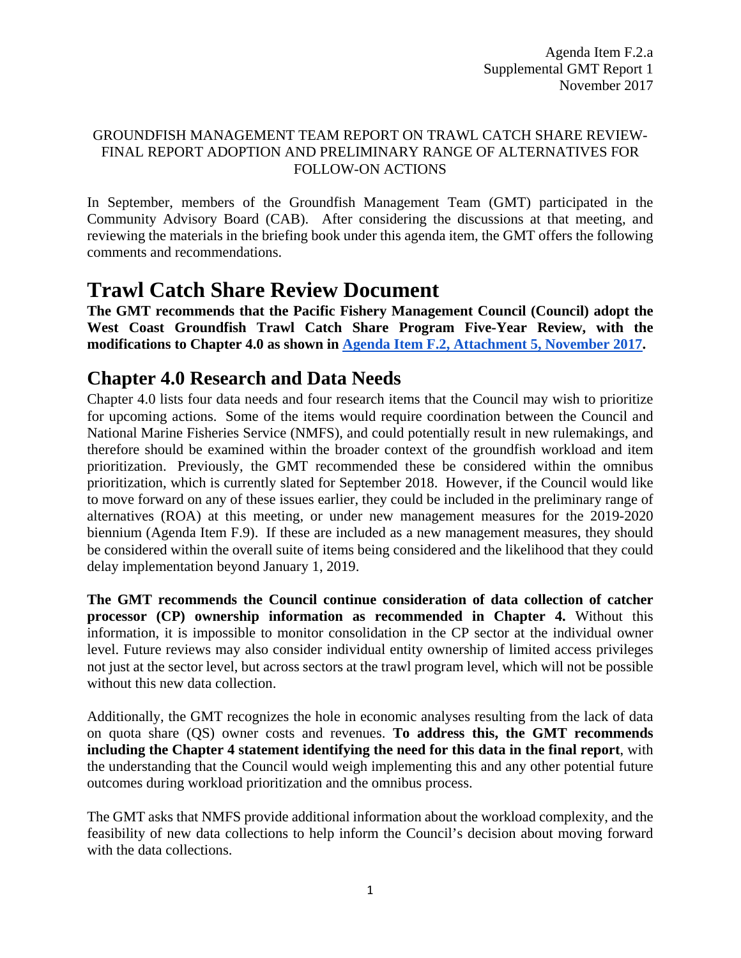#### GROUNDFISH MANAGEMENT TEAM REPORT ON TRAWL CATCH SHARE REVIEW-FINAL REPORT ADOPTION AND PRELIMINARY RANGE OF ALTERNATIVES FOR FOLLOW-ON ACTIONS

In September, members of the Groundfish Management Team (GMT) participated in the Community Advisory Board (CAB). After considering the discussions at that meeting, and reviewing the materials in the briefing book under this agenda item, the GMT offers the following comments and recommendations.

# **Trawl Catch Share Review Document**

**The GMT recommends that the Pacific Fishery Management Council (Council) adopt the West Coast Groundfish Trawl Catch Share Program Five-Year Review, with the modifications to Chapter 4.0 as shown in [Agenda Item F.2, Attachment 5, November 2017.](http://www.pcouncil.org/wp-content/uploads/2017/10/F2_Att5_Sect4_NOV2017BB.pdf)** 

# **Chapter 4.0 Research and Data Needs**

Chapter 4.0 lists four data needs and four research items that the Council may wish to prioritize for upcoming actions. Some of the items would require coordination between the Council and National Marine Fisheries Service (NMFS), and could potentially result in new rulemakings, and therefore should be examined within the broader context of the groundfish workload and item prioritization. Previously, the GMT recommended these be considered within the omnibus prioritization, which is currently slated for September 2018. However, if the Council would like to move forward on any of these issues earlier, they could be included in the preliminary range of alternatives (ROA) at this meeting, or under new management measures for the 2019-2020 biennium (Agenda Item F.9). If these are included as a new management measures, they should be considered within the overall suite of items being considered and the likelihood that they could delay implementation beyond January 1, 2019.

**The GMT recommends the Council continue consideration of data collection of catcher processor (CP) ownership information as recommended in Chapter 4.** Without this information, it is impossible to monitor consolidation in the CP sector at the individual owner level. Future reviews may also consider individual entity ownership of limited access privileges not just at the sector level, but across sectors at the trawl program level, which will not be possible without this new data collection.

Additionally, the GMT recognizes the hole in economic analyses resulting from the lack of data on quota share (QS) owner costs and revenues. **To address this, the GMT recommends including the Chapter 4 statement identifying the need for this data in the final report**, with the understanding that the Council would weigh implementing this and any other potential future outcomes during workload prioritization and the omnibus process.

The GMT asks that NMFS provide additional information about the workload complexity, and the feasibility of new data collections to help inform the Council's decision about moving forward with the data collections.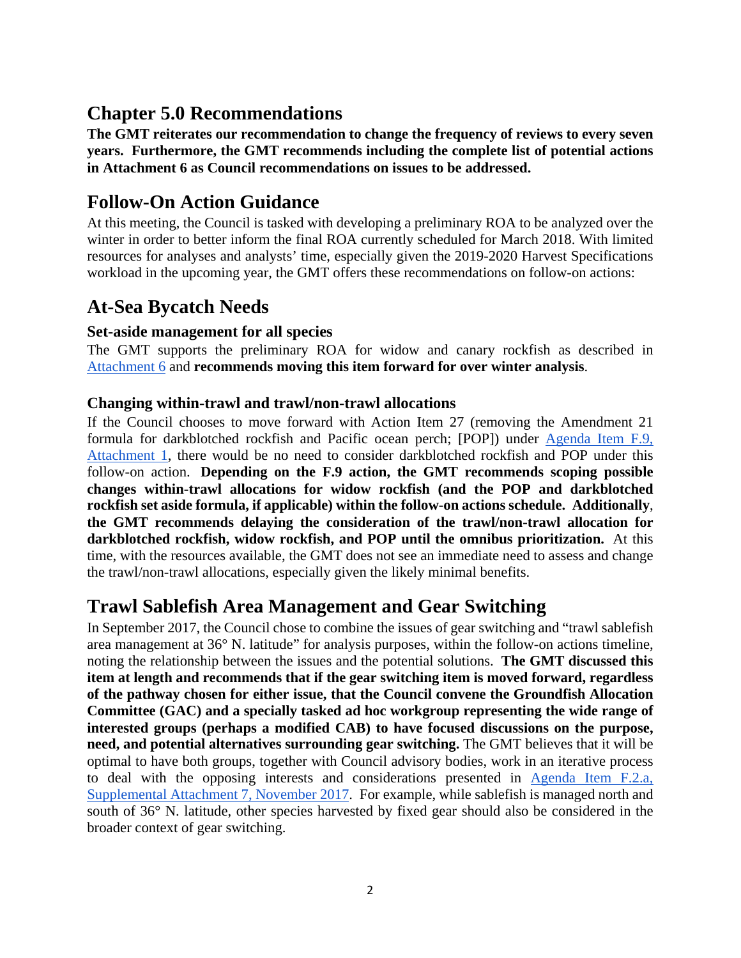## **Chapter 5.0 Recommendations**

**The GMT reiterates our recommendation to change the frequency of reviews to every seven years. Furthermore, the GMT recommends including the complete list of potential actions in Attachment 6 as Council recommendations on issues to be addressed.**

### **Follow-On Action Guidance**

At this meeting, the Council is tasked with developing a preliminary ROA to be analyzed over the winter in order to better inform the final ROA currently scheduled for March 2018. With limited resources for analyses and analysts' time, especially given the 2019-2020 Harvest Specifications workload in the upcoming year, the GMT offers these recommendations on follow-on actions:

## **At-Sea Bycatch Needs**

#### **Set-aside management for all species**

The GMT supports the preliminary ROA for widow and canary rockfish as described in [Attachment 6](http://www.pcouncil.org/wp-content/uploads/2017/10/F2_Att6_FollowOnActions_NOV2017BB.pdf) and **recommends moving this item forward for over winter analysis**.

#### **Changing within-trawl and trawl/non-trawl allocations**

If the Council chooses to move forward with Action Item 27 (removing the Amendment 21 formula for darkblotched rockfish and Pacific ocean perch; [POP]) under [Agenda Item F.9,](http://www.pcouncil.org/wp-content/uploads/2017/10/F9_Att1_Checklist_NOV2017BB.pdf)  [Attachment 1,](http://www.pcouncil.org/wp-content/uploads/2017/10/F9_Att1_Checklist_NOV2017BB.pdf) there would be no need to consider darkblotched rockfish and POP under this follow-on action. **Depending on the F.9 action, the GMT recommends scoping possible changes within-trawl allocations for widow rockfish (and the POP and darkblotched rockfish set aside formula, if applicable) within the follow-on actions schedule. Additionally**, **the GMT recommends delaying the consideration of the trawl/non-trawl allocation for darkblotched rockfish, widow rockfish, and POP until the omnibus prioritization.** At this time, with the resources available, the GMT does not see an immediate need to assess and change the trawl/non-trawl allocations, especially given the likely minimal benefits.

### **Trawl Sablefish Area Management and Gear Switching**

In September 2017, the Council chose to combine the issues of gear switching and "trawl sablefish area management at 36° N. latitude" for analysis purposes, within the follow-on actions timeline, noting the relationship between the issues and the potential solutions. **The GMT discussed this item at length and recommends that if the gear switching item is moved forward, regardless of the pathway chosen for either issue, that the Council convene the Groundfish Allocation Committee (GAC) and a specially tasked ad hoc workgroup representing the wide range of interested groups (perhaps a modified CAB) to have focused discussions on the purpose, need, and potential alternatives surrounding gear switching.** The GMT believes that it will be optimal to have both groups, together with Council advisory bodies, work in an iterative process to deal with the opposing interests and considerations presented in [Agenda Item F.2.a,](https://www.pcouncil.org/wp-content/uploads/2017/11/F2_Sup_Att7_SAMGS_Process_NOV2017BB.pdf)  [Supplemental Attachment 7, November 2017.](https://www.pcouncil.org/wp-content/uploads/2017/11/F2_Sup_Att7_SAMGS_Process_NOV2017BB.pdf) For example, while sablefish is managed north and south of 36° N. latitude, other species harvested by fixed gear should also be considered in the broader context of gear switching.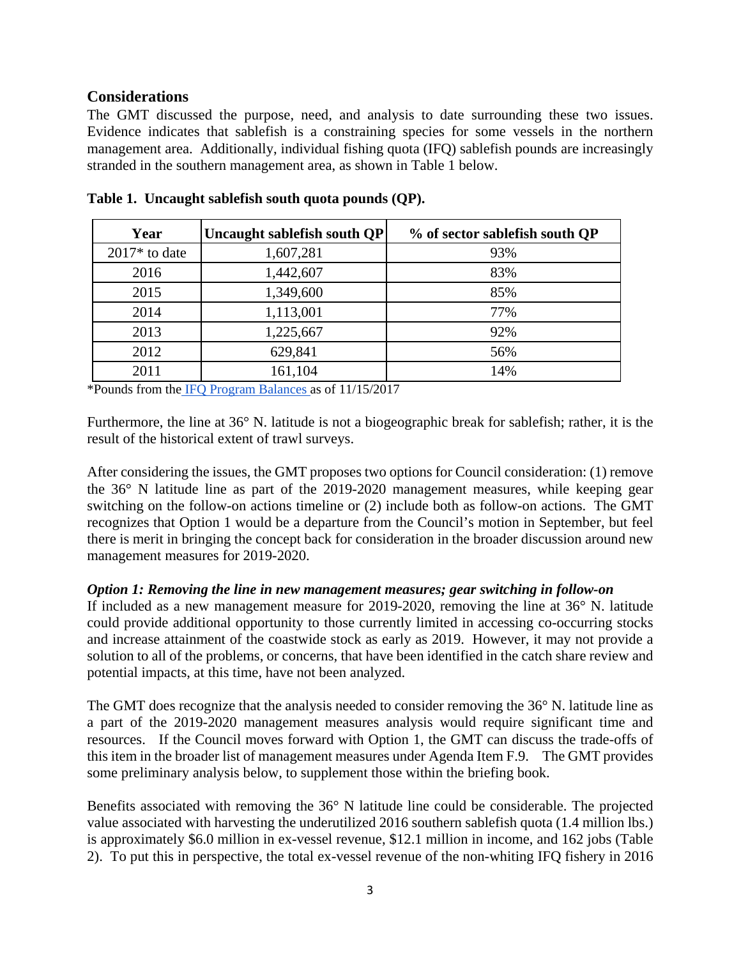#### **Considerations**

The GMT discussed the purpose, need, and analysis to date surrounding these two issues. Evidence indicates that sablefish is a constraining species for some vessels in the northern management area. Additionally, individual fishing quota (IFQ) sablefish pounds are increasingly stranded in the southern management area, as shown in [Table 1](#page-2-0) below.

| Year            | Uncaught sablefish south QP | % of sector sablefish south QP |
|-----------------|-----------------------------|--------------------------------|
| $2017*$ to date | 1,607,281                   | 93%                            |
| 2016            | 1,442,607                   | 83%                            |
| 2015            | 1,349,600                   | 85%                            |
| 2014            | 1,113,001                   | 77%                            |
| 2013            | 1,225,667                   | 92%                            |
| 2012            | 629,841                     | 56%                            |
| 2011            | 161,104                     | 14%                            |

<span id="page-2-0"></span>**Table 1. Uncaught sablefish south quota pounds (QP).**

\*Pounds from the [IFQ Program Balances a](https://www.webapps.nwfsc.noaa.gov/apex/ifq/f?p=155:1::::::)s of 11/15/2017

Furthermore, the line at 36° N. latitude is not a biogeographic break for sablefish; rather, it is the result of the historical extent of trawl surveys.

After considering the issues, the GMT proposes two options for Council consideration: (1) remove the 36° N latitude line as part of the 2019-2020 management measures, while keeping gear switching on the follow-on actions timeline or (2) include both as follow-on actions. The GMT recognizes that Option 1 would be a departure from the Council's motion in September, but feel there is merit in bringing the concept back for consideration in the broader discussion around new management measures for 2019-2020.

#### *Option 1: Removing the line in new management measures; gear switching in follow-on*

If included as a new management measure for 2019-2020, removing the line at 36° N. latitude could provide additional opportunity to those currently limited in accessing co-occurring stocks and increase attainment of the coastwide stock as early as 2019. However, it may not provide a solution to all of the problems, or concerns, that have been identified in the catch share review and potential impacts, at this time, have not been analyzed.

The GMT does recognize that the analysis needed to consider removing the 36° N. latitude line as a part of the 2019-2020 management measures analysis would require significant time and resources. If the Council moves forward with Option 1, the GMT can discuss the trade-offs of this item in the broader list of management measures under Agenda Item F.9. The GMT provides some preliminary analysis below, to supplement those within the briefing book.

Benefits associated with removing the 36° N latitude line could be considerable. The projected value associated with harvesting the underutilized 2016 southern sablefish quota (1.4 million lbs.) is approximately \$6.0 million in ex-vessel revenue, \$12.1 million in income, and 162 jobs [\(Table](#page-3-0)  [2\)](#page-3-0). To put this in perspective, the total ex-vessel revenue of the non-whiting IFQ fishery in 2016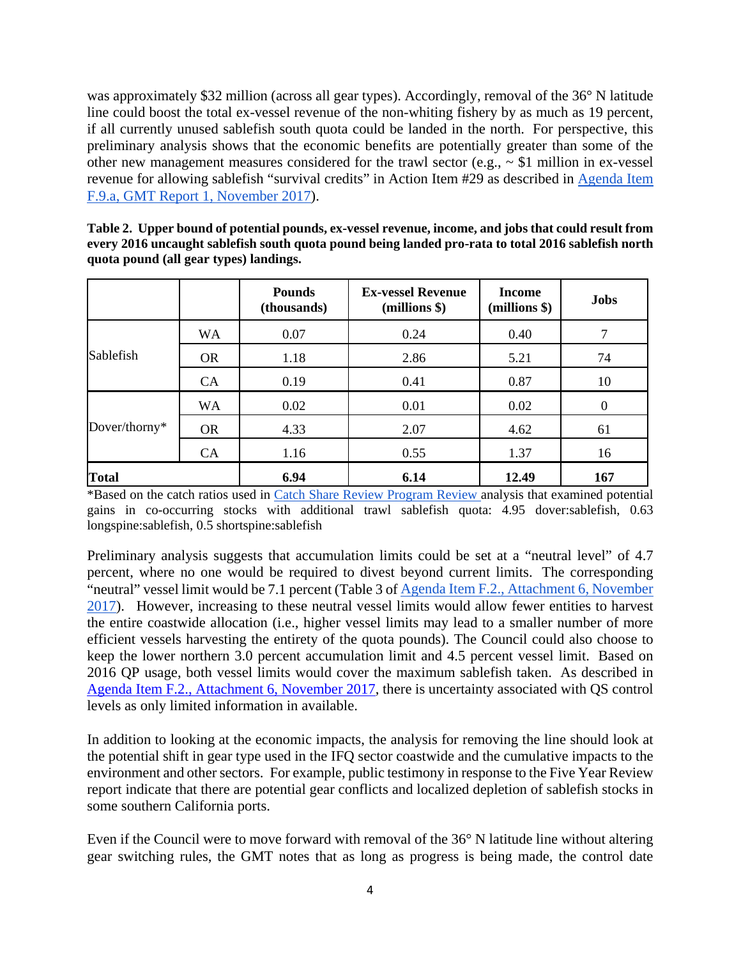was approximately \$32 million (across all gear types). Accordingly, removal of the 36° N latitude line could boost the total ex-vessel revenue of the non-whiting fishery by as much as 19 percent, if all currently unused sablefish south quota could be landed in the north. For perspective, this preliminary analysis shows that the economic benefits are potentially greater than some of the other new management measures considered for the trawl sector (e.g.,  $\sim$  \$1 million in ex-vessel revenue for allowing sablefish "survival credits" in Action Item #29 as described in Agenda Item [F.9.a, GMT Report 1, November 2017\)](http://www.pcouncil.org/wp-content/uploads/2017/10/F9a_GMT_Rpt1_NOV2017BB.pdf).

<span id="page-3-0"></span>

| Table 2. Upper bound of potential pounds, ex-vessel revenue, income, and jobs that could result from |
|------------------------------------------------------------------------------------------------------|
| every 2016 uncaught sablefish south quota pound being landed pro-rata to total 2016 sablefish north  |
| quota pound (all gear types) landings.                                                               |

|               |           | <b>Pounds</b><br>(thousands) | <b>Ex-vessel Revenue</b><br>(millions \$) | <b>Income</b><br>(millions \$) | <b>Jobs</b> |
|---------------|-----------|------------------------------|-------------------------------------------|--------------------------------|-------------|
| Sablefish     | <b>WA</b> | 0.07                         | 0.24                                      | 0.40                           |             |
|               | <b>OR</b> | 1.18                         | 2.86                                      | 5.21                           | 74          |
|               | CA        | 0.19                         | 0.41                                      | 0.87                           | 10          |
| Dover/thorny* | <b>WA</b> | 0.02                         | 0.01                                      | 0.02                           | $\Omega$    |
|               | <b>OR</b> | 4.33                         | 2.07                                      | 4.62                           | 61          |
|               | <b>CA</b> | 1.16                         | 0.55                                      | 1.37                           | 16          |
| <b>Total</b>  |           | 6.94                         | 6.14                                      | 12.49                          | 167         |

\*Based on the catch ratios used in [Catch Share Review Program Review a](http://www.pcouncil.org/wp-content/uploads/2017/05/F2a_CatchShareAnalystsReport_FullReport_ElectricOnly_Jun2017BB.pdf)nalysis that examined potential gains in co-occurring stocks with additional trawl sablefish quota: 4.95 dover:sablefish, 0.63 longspine:sablefish, 0.5 shortspine:sablefish

Preliminary analysis suggests that accumulation limits could be set at a "neutral level" of 4.7 percent, where no one would be required to divest beyond current limits. The corresponding "neutral" vessel limit would be 7.1 percent (Table 3 of [Agenda Item F.2., Attachment 6, November](http://www.pcouncil.org/wp-content/uploads/2017/10/F2_Att6_FollowOnActions_NOV2017BB.pdf)  [2017\)](http://www.pcouncil.org/wp-content/uploads/2017/10/F2_Att6_FollowOnActions_NOV2017BB.pdf). However, increasing to these neutral vessel limits would allow fewer entities to harvest the entire coastwide allocation (i.e., higher vessel limits may lead to a smaller number of more efficient vessels harvesting the entirety of the quota pounds). The Council could also choose to keep the lower northern 3.0 percent accumulation limit and 4.5 percent vessel limit. Based on 2016 QP usage, both vessel limits would cover the maximum sablefish taken. As described in [Agenda Item F.2., Attachment 6, November 2017,](http://www.pcouncil.org/wp-content/uploads/2017/10/F2_Att6_FollowOnActions_NOV2017BB.pdf) there is uncertainty associated with QS control levels as only limited information in available.

In addition to looking at the economic impacts, the analysis for removing the line should look at the potential shift in gear type used in the IFQ sector coastwide and the cumulative impacts to the environment and other sectors. For example, public testimony in response to the Five Year Review report indicate that there are potential gear conflicts and localized depletion of sablefish stocks in some southern California ports.

Even if the Council were to move forward with removal of the 36° N latitude line without altering gear switching rules, the GMT notes that as long as progress is being made, the control date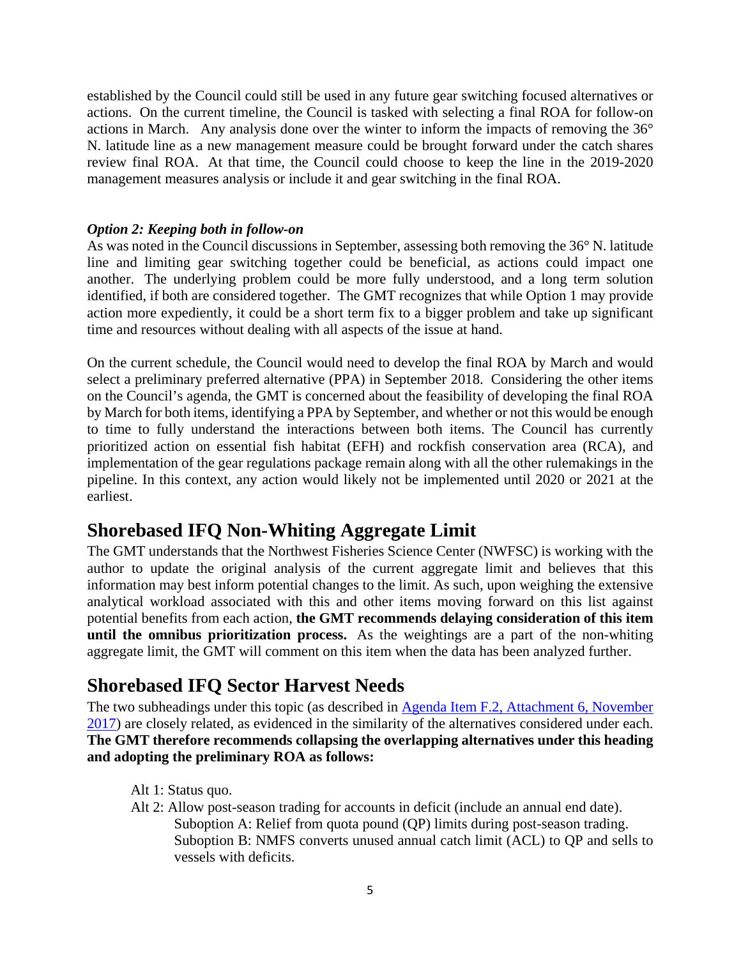established by the Council could still be used in any future gear switching focused alternatives or actions. On the current timeline, the Council is tasked with selecting a final ROA for follow-on actions in March. Any analysis done over the winter to inform the impacts of removing the 36° N. latitude line as a new management measure could be brought forward under the catch shares review final ROA. At that time, the Council could choose to keep the line in the 2019-2020 management measures analysis or include it and gear switching in the final ROA.

#### *Option 2: Keeping both in follow-on*

As was noted in the Council discussions in September, assessing both removing the 36° N. latitude line and limiting gear switching together could be beneficial, as actions could impact one another. The underlying problem could be more fully understood, and a long term solution identified, if both are considered together. The GMT recognizes that while Option 1 may provide action more expediently, it could be a short term fix to a bigger problem and take up significant time and resources without dealing with all aspects of the issue at hand.

On the current schedule, the Council would need to develop the final ROA by March and would select a preliminary preferred alternative (PPA) in September 2018. Considering the other items on the Council's agenda, the GMT is concerned about the feasibility of developing the final ROA by March for both items, identifying a PPA by September, and whether or not this would be enough to time to fully understand the interactions between both items. The Council has currently prioritized action on essential fish habitat (EFH) and rockfish conservation area (RCA), and implementation of the gear regulations package remain along with all the other rulemakings in the pipeline. In this context, any action would likely not be implemented until 2020 or 2021 at the earliest.

#### **Shorebased IFQ Non-Whiting Aggregate Limit**

The GMT understands that the Northwest Fisheries Science Center (NWFSC) is working with the author to update the original analysis of the current aggregate limit and believes that this information may best inform potential changes to the limit. As such, upon weighing the extensive analytical workload associated with this and other items moving forward on this list against potential benefits from each action, **the GMT recommends delaying consideration of this item until the omnibus prioritization process.** As the weightings are a part of the non-whiting aggregate limit, the GMT will comment on this item when the data has been analyzed further.

### **Shorebased IFQ Sector Harvest Needs**

The two subheadings under this topic (as described in Agenda Item F.2, Attachment 6, November [2017\)](http://www.pcouncil.org/wp-content/uploads/2017/10/F2_Att6_FollowOnActions_NOV2017BB.pdf) are closely related, as evidenced in the similarity of the alternatives considered under each. **The GMT therefore recommends collapsing the overlapping alternatives under this heading and adopting the preliminary ROA as follows:**

- Alt 1: Status quo.
- Alt 2: Allow post-season trading for accounts in deficit (include an annual end date). Suboption A: Relief from quota pound (QP) limits during post-season trading. Suboption B: NMFS converts unused annual catch limit (ACL) to QP and sells to vessels with deficits.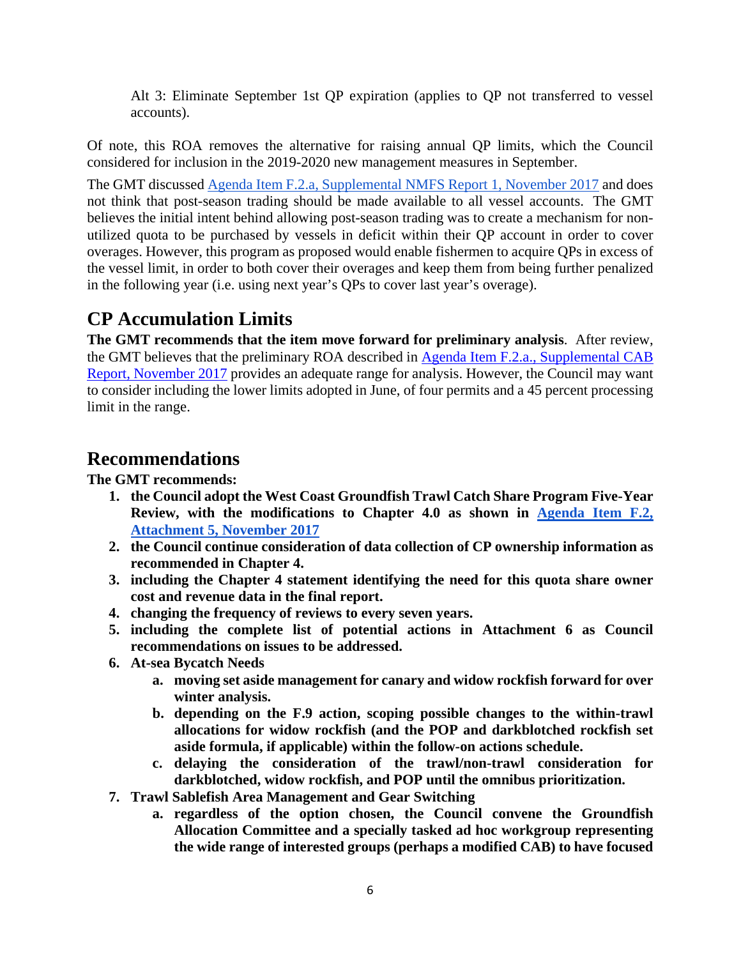Alt 3: Eliminate September 1st QP expiration (applies to QP not transferred to vessel accounts).

Of note, this ROA removes the alternative for raising annual QP limits, which the Council considered for inclusion in the 2019-2020 new management measures in September.

The GMT discussed [Agenda Item F.2.a, Supplemental NMFS Report 1, November 2017](https://www.pcouncil.org/wp-content/uploads/2017/11/F2a_Sup_NMFS_Rpt1_PrelimROA_NOV2017BB.pdf) and does not think that post-season trading should be made available to all vessel accounts. The GMT believes the initial intent behind allowing post-season trading was to create a mechanism for nonutilized quota to be purchased by vessels in deficit within their QP account in order to cover overages. However, this program as proposed would enable fishermen to acquire QPs in excess of the vessel limit, in order to both cover their overages and keep them from being further penalized in the following year (i.e. using next year's QPs to cover last year's overage).

## **CP Accumulation Limits**

**The GMT recommends that the item move forward for preliminary analysis**. After review, the GMT believes that the preliminary ROA described in [Agenda Item F.2.a., Supplemental CAB](https://www.pcouncil.org/wp-content/uploads/2017/11/F2a_Sup_CAB_Rpt1_NOV2017BB.pdf)  [Report, November 2017](https://www.pcouncil.org/wp-content/uploads/2017/11/F2a_Sup_CAB_Rpt1_NOV2017BB.pdf) provides an adequate range for analysis. However, the Council may want to consider including the lower limits adopted in June, of four permits and a 45 percent processing limit in the range.

#### **Recommendations**

**The GMT recommends:**

- **1. the Council adopt the West Coast Groundfish Trawl Catch Share Program Five-Year Review, with the modifications to Chapter 4.0 as shown in [Agenda Item](http://www.pcouncil.org/wp-content/uploads/2017/10/F2_Att5_Sect4_NOV2017BB.pdf) F.2, [Attachment 5, November 2017](http://www.pcouncil.org/wp-content/uploads/2017/10/F2_Att5_Sect4_NOV2017BB.pdf)**
- **2. the Council continue consideration of data collection of CP ownership information as recommended in Chapter 4.**
- **3. including the Chapter 4 statement identifying the need for this quota share owner cost and revenue data in the final report.**
- **4. changing the frequency of reviews to every seven years.**
- **5. including the complete list of potential actions in Attachment 6 as Council recommendations on issues to be addressed.**
- **6. At-sea Bycatch Needs**
	- **a. moving set aside management for canary and widow rockfish forward for over winter analysis.**
	- **b. depending on the F.9 action, scoping possible changes to the within-trawl allocations for widow rockfish (and the POP and darkblotched rockfish set aside formula, if applicable) within the follow-on actions schedule.**
	- **c. delaying the consideration of the trawl/non-trawl consideration for darkblotched, widow rockfish, and POP until the omnibus prioritization.**
- **7. Trawl Sablefish Area Management and Gear Switching**
	- **a. regardless of the option chosen, the Council convene the Groundfish Allocation Committee and a specially tasked ad hoc workgroup representing the wide range of interested groups (perhaps a modified CAB) to have focused**